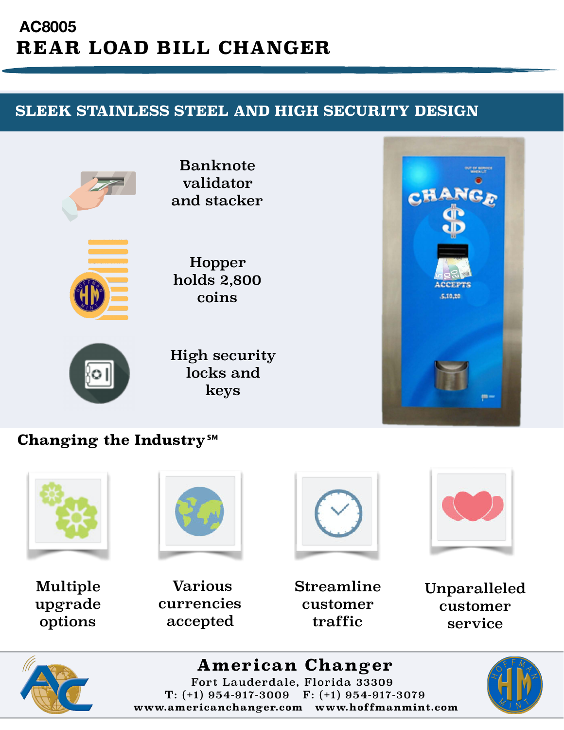## **AC8005 REAR LOAD BILL CHANGER**

## **SLEEK STAINLESS STEEL AND HIGH SECURITY DESIGN**



Banknote validator and stacker



Hopper holds 2,800 coins



High security locks and keys



## **Changing the Industry℠**







Multiple upgrade options



 Various currencies accepted

Streamline customer traffic

Unparalleled customer service



**American Changer** Fort Lauderdale, Florida 33309 T: (+1) 954-917-3009 F: (+1) 954-917-3079 **www.americanchanger.com www.hoffmanmint.com**